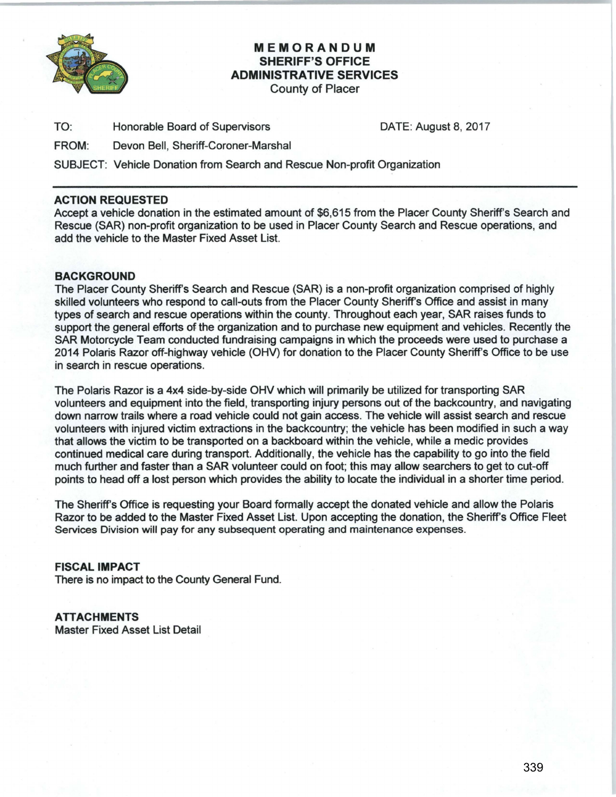

# **MEMORANDUM SHERIFF'S OFFICE ADMINISTRATIVE SERVICES**

County of Placer

TO: Honorable Board of Supervisors DATE: August 8, 2017

FROM: Devon Bell, Sheriff-Coroner-Marshal

SUBJECT: Vehicle Donation from Search and Rescue Non-profit Organization

### **ACTION REQUESTED**

Accept a vehicle donation in the estimated amount of \$6,615 from the Placer County Sheriff's Search and Rescue (SAR) non-profit organization to be used in Placer County Search and Rescue operations, and add the vehicle to the Master Fixed Asset List.

### **BACKGROUND**

The Placer County Sheriff's Search and Rescue (SAR) is a non-profit organization comprised of highly skilled volunteers who respond to call-outs from the Placer County Sheriff's Office and assist in many types of search and rescue operations within the county. Throughout each year, SAR raises funds to support the general efforts of the organization and to purchase new equipment and vehicles. Recently the SAR Motorcycle Team conducted fundraising campaigns in which the proceeds were used to purchase a 2014 Polaris Razor off-highway vehicle (OHV) for donation to the Placer County Sheriff's Office to be use in search in rescue operations.

The Polaris Razor is a 4x4 side-by-side OHV which will primarily be utilized for transporting SAR volunteers and equipment into the field, transporting injury persons out of the backcountry, and navigating down narrow trails where a road vehicle could not gain access. The vehicle will assist search and rescue volunteers with injured victim extractions in the backcountry; the vehicle has been modified in such a way that allows the victim to be transported on a backboard within the vehicle, while a medic provides continued medical care during transport. Additionally, the vehicle has the capability to go into the field much further and faster than a SAR volunteer could on foot; this may allow searchers to get to cut-off points to head off a lost person which provides the ability to locate the individual in a shorter time period.

The Sheriff's Office is requesting your Board formally accept the donated vehicle and allow the Polaris Razor to be added to the Master Fixed Asset List. Upon accepting the donation, the Sheriff's Office Fleet Services Division will pay for any subsequent operating and maintenance expenses.

**FISCAL IMPACT** 

There is no impact to the County General Fund.

**ATTACHMENTS**  Master Fixed Asset List Detail